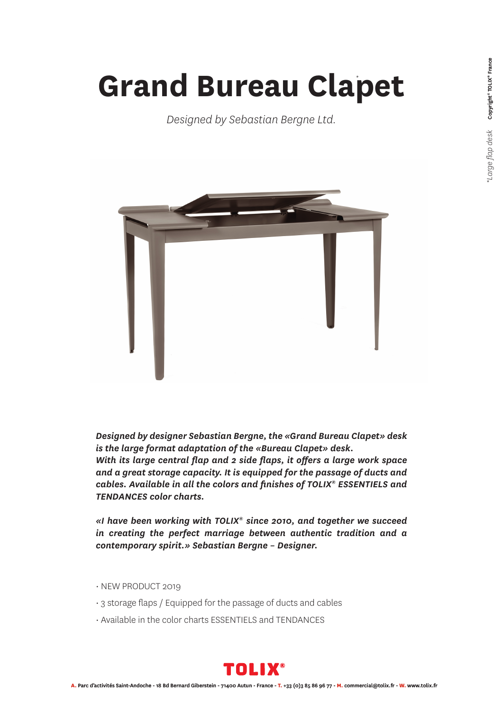## **Grand Bureau Clapet** *\**

*Designed by Sebastian Bergne Ltd.* 



*Designed by designer Sebastian Bergne, the «Grand Bureau Clapet» desk is the large format adaptation of the «Bureau Clapet» desk. With its large central flap and 2 side flaps, it offers a large work space and a great storage capacity. It is equipped for the passage of ducts and cables. Available in all the colors and finishes of TOLIX® ESSENTIELS and TENDANCES color charts.*

*«I have been working with TOLIX® since 2010, and together we succeed in creating the perfect marriage between authentic tradition and a contemporary spirit.» Sebastian Bergne – Designer.*

- NEW PRODUCT 2019
- 3 storage flaps / Equipped for the passage of ducts and cables
- Available in the color charts ESSENTIELS and TENDANCES